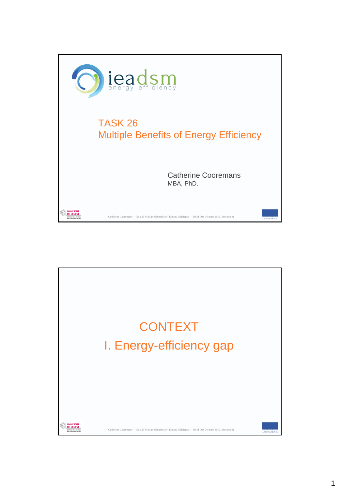

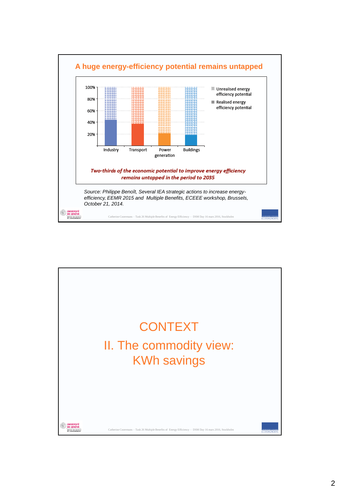

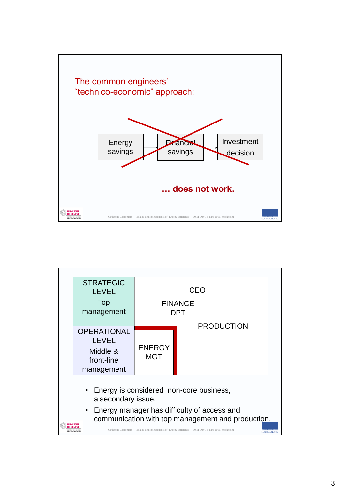

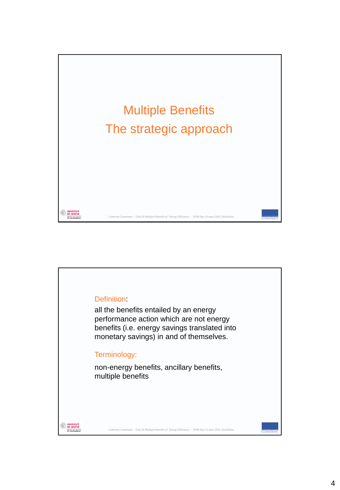

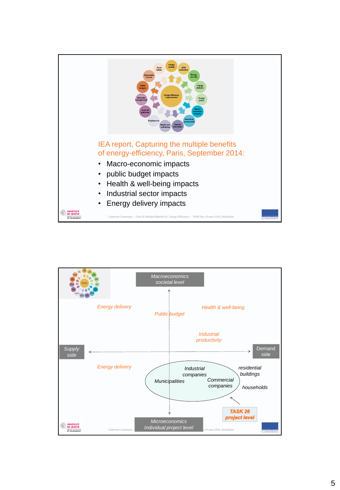

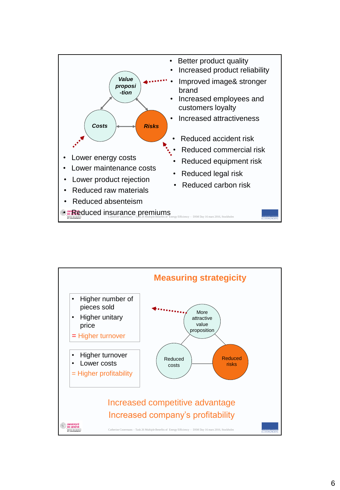

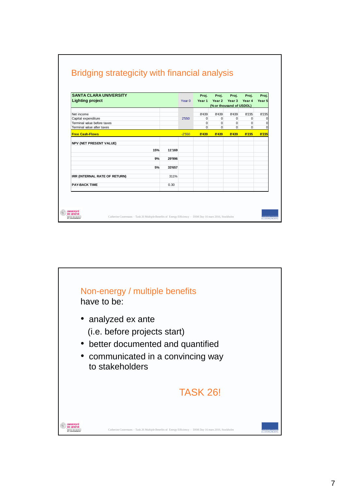| <b>SANTA CLARA UNIVERSITY</b>  |        | Year $0$ | Proj.    | Proj.                    | Proi.         | Proi.    | Proi.       |
|--------------------------------|--------|----------|----------|--------------------------|---------------|----------|-------------|
| <b>Lighting project</b>        |        |          | Year 1   |                          | Year 2 Year 3 | Year 4   | Year 5      |
|                                |        |          |          | (% or thousand of USDOL) |               |          |             |
| Net income                     |        | 2'550    | 8'439    | 8'439                    | 8'439         | 8'235    | 8'235       |
| Capital expenditure            |        |          | $\Omega$ | $\Omega$                 | $\Omega$      | $\Omega$ | $\Omega$    |
| Terminal value before taxes    |        |          | $\Omega$ | $\Omega$                 | $\Omega$      | $\Omega$ | $\Omega$    |
| Terminal value after taxes     |        |          | $\Omega$ | $\Omega$                 | $\Omega$      | $\Omega$ | $\mathbf 0$ |
| <b>Free Cash-Flows</b>         |        | $-2'550$ | 8'439    | 8'439                    | 8'439         | 8'235    | 8'235       |
|                                |        |          |          |                          |               |          |             |
| <b>NPV (NET PRESENT VALUE)</b> |        |          |          |                          |               |          |             |
| 15%                            | 11'169 |          |          |                          |               |          |             |
| 9%                             | 29'996 |          |          |                          |               |          |             |
| 5%                             | 33'657 |          |          |                          |               |          |             |
|                                |        |          |          |                          |               |          |             |
| IRR (INTERNAL RATE OF RETURN)  | 311%   |          |          |                          |               |          |             |
| <b>PAY-BACK TIME</b>           | 0.30   |          |          |                          |               |          |             |
|                                |        |          |          |                          |               |          |             |